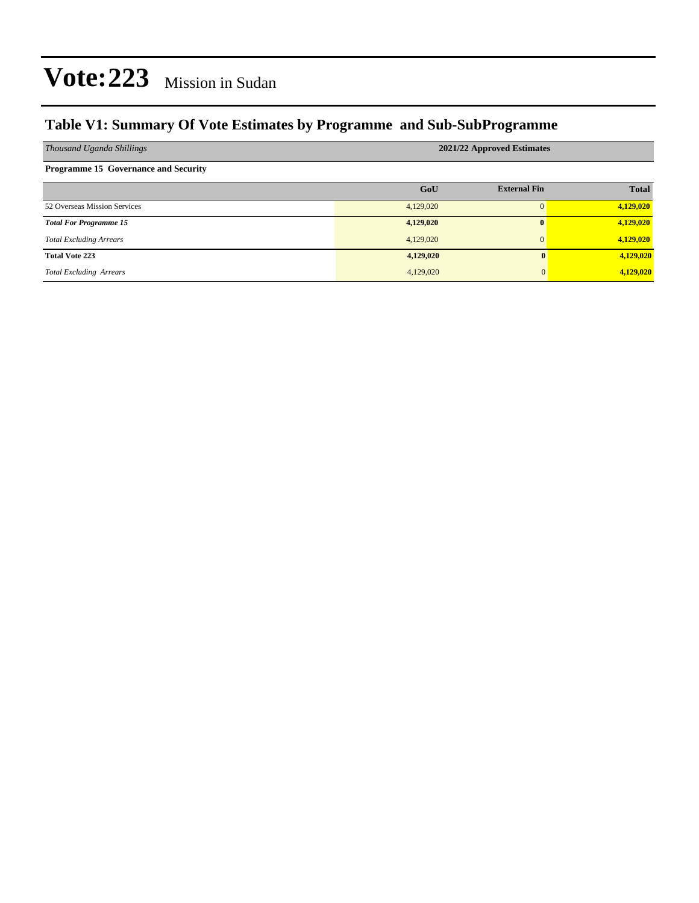## **Table V1: Summary Of Vote Estimates by Programme and Sub-SubProgramme**

| Thousand Uganda Shillings                   | 2021/22 Approved Estimates |                     |              |  |  |  |  |
|---------------------------------------------|----------------------------|---------------------|--------------|--|--|--|--|
| <b>Programme 15 Governance and Security</b> |                            |                     |              |  |  |  |  |
|                                             | GoU                        | <b>External Fin</b> | <b>Total</b> |  |  |  |  |
| 52 Overseas Mission Services                | 4,129,020                  |                     | 4,129,020    |  |  |  |  |
| <b>Total For Programme 15</b>               | 4,129,020                  |                     | 4,129,020    |  |  |  |  |
| <b>Total Excluding Arrears</b>              | 4,129,020                  |                     | 4,129,020    |  |  |  |  |
| <b>Total Vote 223</b>                       | 4,129,020                  | 0                   | 4,129,020    |  |  |  |  |
| <b>Total Excluding Arrears</b>              | 4,129,020                  | $\mathbf{0}$        | 4,129,020    |  |  |  |  |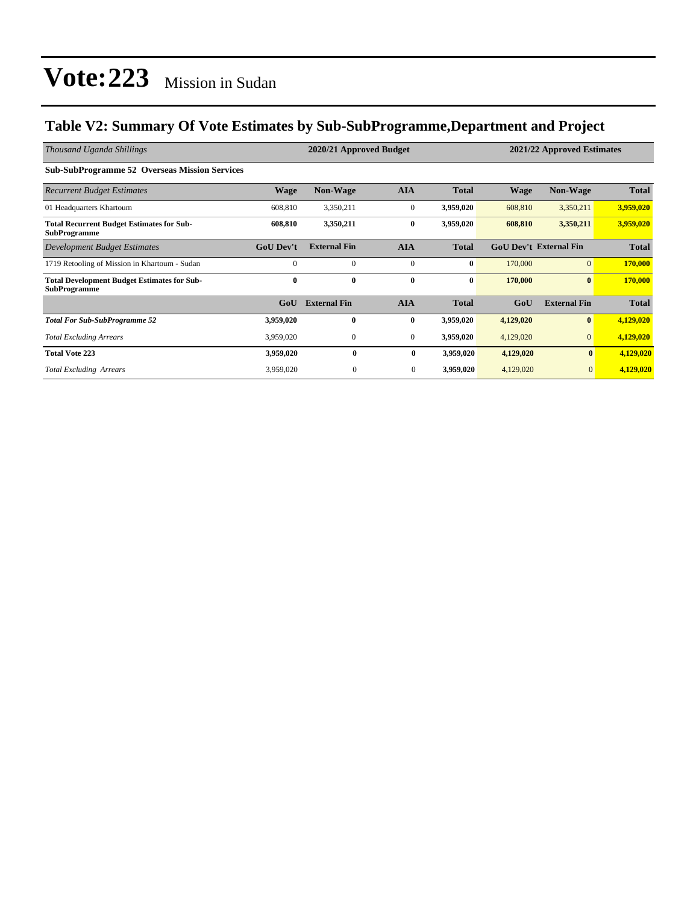## **Table V2: Summary Of Vote Estimates by Sub-SubProgramme,Department and Project**

| Thousand Uganda Shillings                                                 |                  | 2020/21 Approved Budget<br>2021/22 Approved Estimates |                |              |             |                               |              |  |
|---------------------------------------------------------------------------|------------------|-------------------------------------------------------|----------------|--------------|-------------|-------------------------------|--------------|--|
| <b>Sub-SubProgramme 52 Overseas Mission Services</b>                      |                  |                                                       |                |              |             |                               |              |  |
| <b>Recurrent Budget Estimates</b>                                         | <b>Wage</b>      | <b>Non-Wage</b>                                       | <b>AIA</b>     | <b>Total</b> | <b>Wage</b> | <b>Non-Wage</b>               | <b>Total</b> |  |
| 01 Headquarters Khartoum                                                  | 608,810          | 3,350,211                                             | $\mathbf{0}$   | 3,959,020    | 608,810     | 3,350,211                     | 3,959,020    |  |
| <b>Total Recurrent Budget Estimates for Sub-</b><br><b>SubProgramme</b>   | 608,810          | 3,350,211                                             | $\bf{0}$       | 3,959,020    | 608,810     | 3,350,211                     | 3,959,020    |  |
| Development Budget Estimates                                              | <b>GoU</b> Dev't | <b>External Fin</b>                                   | <b>AIA</b>     | <b>Total</b> |             | <b>GoU Dev't External Fin</b> | <b>Total</b> |  |
| 1719 Retooling of Mission in Khartoum - Sudan                             | $\Omega$         | $\Omega$                                              | $\mathbf{0}$   | $\bf{0}$     | 170,000     | $\overline{0}$                | 170,000      |  |
| <b>Total Development Budget Estimates for Sub-</b><br><b>SubProgramme</b> | $\mathbf{0}$     | $\bf{0}$                                              | $\bf{0}$       | $\bf{0}$     | 170,000     | $\bf{0}$                      | 170,000      |  |
|                                                                           | GoU              | <b>External Fin</b>                                   | <b>AIA</b>     | <b>Total</b> | GoU         | <b>External Fin</b>           | <b>Total</b> |  |
| <b>Total For Sub-SubProgramme 52</b>                                      | 3,959,020        | $\mathbf{0}$                                          | $\bf{0}$       | 3,959,020    | 4,129,020   | $\bf{0}$                      | 4,129,020    |  |
| <b>Total Excluding Arrears</b>                                            | 3,959,020        | $\mathbf{0}$                                          | $\mathbf{0}$   | 3,959,020    | 4,129,020   | $\mathbf{0}$                  | 4,129,020    |  |
| <b>Total Vote 223</b>                                                     | 3,959,020        | $\mathbf{0}$                                          | $\bf{0}$       | 3,959,020    | 4,129,020   | $\bf{0}$                      | 4,129,020    |  |
| <b>Total Excluding Arrears</b>                                            | 3,959,020        | $\boldsymbol{0}$                                      | $\overline{0}$ | 3,959,020    | 4,129,020   | $\mathbf{0}$                  | 4,129,020    |  |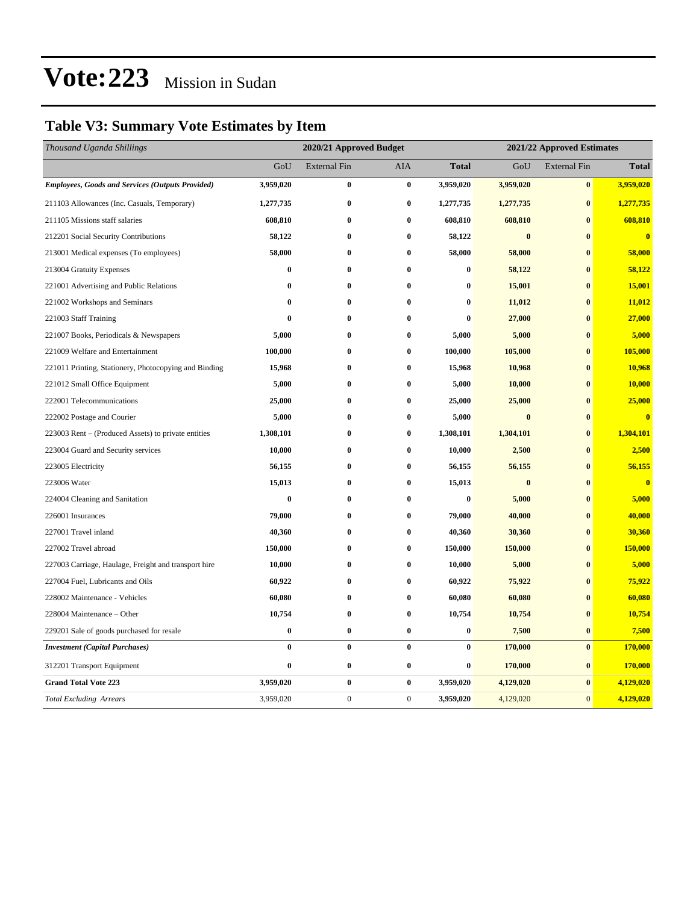## **Table V3: Summary Vote Estimates by Item**

| Thousand Uganda Shillings                               | 2020/21 Approved Budget |                     |                  |                  | 2021/22 Approved Estimates |                     |                         |  |
|---------------------------------------------------------|-------------------------|---------------------|------------------|------------------|----------------------------|---------------------|-------------------------|--|
|                                                         | GoU                     | <b>External Fin</b> | AIA              | <b>Total</b>     | GoU                        | <b>External Fin</b> | <b>Total</b>            |  |
| <b>Employees, Goods and Services (Outputs Provided)</b> | 3,959,020               | $\pmb{0}$           | $\bf{0}$         | 3,959,020        | 3,959,020                  | $\bf{0}$            | 3,959,020               |  |
| 211103 Allowances (Inc. Casuals, Temporary)             | 1,277,735               | $\bf{0}$            | $\bf{0}$         | 1,277,735        | 1,277,735                  | $\bf{0}$            | 1,277,735               |  |
| 211105 Missions staff salaries                          | 608,810                 | $\pmb{0}$           | $\bf{0}$         | 608,810          | 608,810                    | $\bf{0}$            | 608,810                 |  |
| 212201 Social Security Contributions                    | 58,122                  | $\bf{0}$            | $\bf{0}$         | 58,122           | $\bf{0}$                   | $\bf{0}$            | $\bf{0}$                |  |
| 213001 Medical expenses (To employees)                  | 58,000                  | $\bf{0}$            | $\bf{0}$         | 58,000           | 58,000                     | $\bf{0}$            | 58,000                  |  |
| 213004 Gratuity Expenses                                | $\bf{0}$                | $\bf{0}$            | $\bf{0}$         | $\bf{0}$         | 58,122                     | $\bf{0}$            | 58,122                  |  |
| 221001 Advertising and Public Relations                 | $\bf{0}$                | $\bf{0}$            | $\bf{0}$         | $\bf{0}$         | 15,001                     | $\bf{0}$            | 15,001                  |  |
| 221002 Workshops and Seminars                           | $\bf{0}$                | $\bf{0}$            | $\bf{0}$         | $\bf{0}$         | 11,012                     | $\bf{0}$            | 11,012                  |  |
| 221003 Staff Training                                   | $\bf{0}$                | $\bf{0}$            | $\bf{0}$         | $\bf{0}$         | 27,000                     | $\bf{0}$            | 27,000                  |  |
| 221007 Books, Periodicals & Newspapers                  | 5,000                   | $\bf{0}$            | $\bf{0}$         | 5,000            | 5,000                      | $\bf{0}$            | 5,000                   |  |
| 221009 Welfare and Entertainment                        | 100,000                 | $\bf{0}$            | $\bf{0}$         | 100,000          | 105,000                    | $\bf{0}$            | 105,000                 |  |
| 221011 Printing, Stationery, Photocopying and Binding   | 15,968                  | $\bf{0}$            | $\bf{0}$         | 15,968           | 10,968                     | $\bf{0}$            | 10,968                  |  |
| 221012 Small Office Equipment                           | 5,000                   | $\bf{0}$            | $\bf{0}$         | 5,000            | 10,000                     | $\bf{0}$            | 10,000                  |  |
| 222001 Telecommunications                               | 25,000                  | $\bf{0}$            | $\bf{0}$         | 25,000           | 25,000                     | $\bf{0}$            | 25,000                  |  |
| 222002 Postage and Courier                              | 5,000                   | $\bf{0}$            | $\bf{0}$         | 5,000            | $\bf{0}$                   | $\bf{0}$            | $\bf{0}$                |  |
| 223003 Rent – (Produced Assets) to private entities     | 1,308,101               | $\bf{0}$            | $\bf{0}$         | 1,308,101        | 1,304,101                  | $\bf{0}$            | 1,304,101               |  |
| 223004 Guard and Security services                      | 10,000                  | $\bf{0}$            | $\bf{0}$         | 10,000           | 2,500                      | $\bf{0}$            | 2,500                   |  |
| 223005 Electricity                                      | 56,155                  | $\bf{0}$            | $\bf{0}$         | 56,155           | 56,155                     | $\bf{0}$            | 56,155                  |  |
| 223006 Water                                            | 15,013                  | $\bf{0}$            | $\bf{0}$         | 15,013           | $\bf{0}$                   | $\bf{0}$            | $\overline{\mathbf{0}}$ |  |
| 224004 Cleaning and Sanitation                          | $\bf{0}$                | $\bf{0}$            | $\mathbf{0}$     | 0                | 5,000                      | $\mathbf{0}$        | 5,000                   |  |
| 226001 Insurances                                       | 79,000                  | $\bf{0}$            | $\bf{0}$         | 79,000           | 40,000                     | $\bf{0}$            | 40,000                  |  |
| 227001 Travel inland                                    | 40,360                  | $\bf{0}$            | $\bf{0}$         | 40,360           | 30,360                     | $\bf{0}$            | 30,360                  |  |
| 227002 Travel abroad                                    | 150,000                 | $\bf{0}$            | $\bf{0}$         | 150,000          | 150,000                    | $\bf{0}$            | 150,000                 |  |
| 227003 Carriage, Haulage, Freight and transport hire    | 10,000                  | $\bf{0}$            | $\bf{0}$         | 10,000           | 5,000                      | $\bf{0}$            | 5,000                   |  |
| 227004 Fuel, Lubricants and Oils                        | 60,922                  | $\bf{0}$            | $\bf{0}$         | 60,922           | 75,922                     | $\bf{0}$            | 75,922                  |  |
| 228002 Maintenance - Vehicles                           | 60,080                  | $\bf{0}$            | $\bf{0}$         | 60,080           | 60,080                     | $\bf{0}$            | 60,080                  |  |
| 228004 Maintenance - Other                              | 10,754                  | $\bf{0}$            | $\bf{0}$         | 10,754           | 10,754                     | $\bf{0}$            | 10,754                  |  |
| 229201 Sale of goods purchased for resale               | $\boldsymbol{0}$        | $\pmb{0}$           | $\bf{0}$         | $\boldsymbol{0}$ | 7,500                      | $\bf{0}$            | 7,500                   |  |
| <b>Investment</b> (Capital Purchases)                   | $\bf{0}$                | $\bf{0}$            | $\bf{0}$         | $\bf{0}$         | 170,000                    | $\bf{0}$            | 170,000                 |  |
| 312201 Transport Equipment                              | $\bf{0}$                | $\bf{0}$            | $\bf{0}$         | 0                | 170,000                    | $\bf{0}$            | 170,000                 |  |
| <b>Grand Total Vote 223</b>                             | 3,959,020               | $\bf{0}$            | $\bf{0}$         | 3,959,020        | 4,129,020                  | $\bf{0}$            | 4,129,020               |  |
| <b>Total Excluding Arrears</b>                          | 3,959,020               | $\boldsymbol{0}$    | $\boldsymbol{0}$ | 3,959,020        | 4,129,020                  | $\mathbf{0}$        | 4,129,020               |  |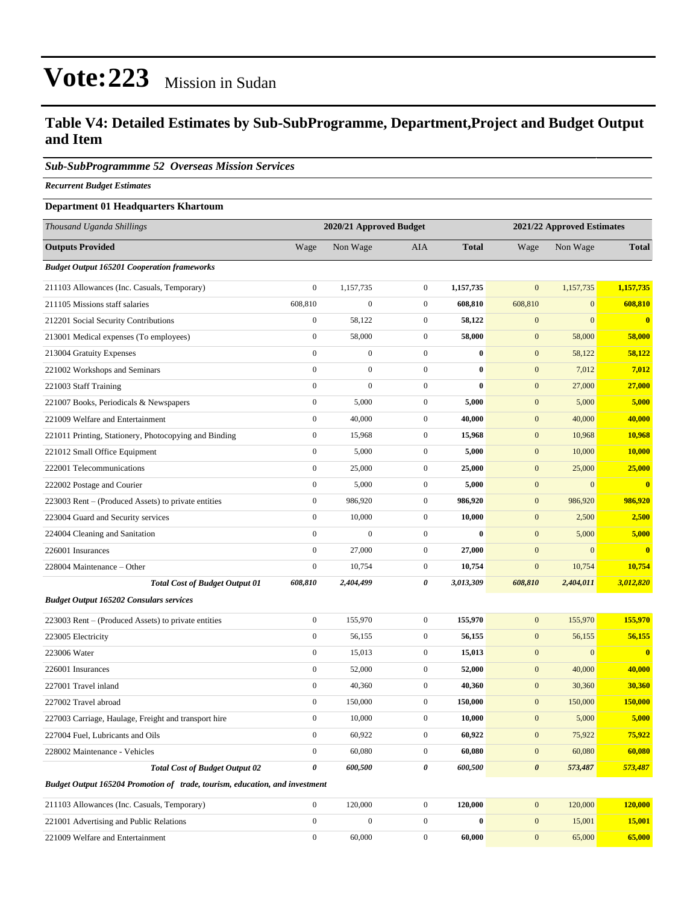### **Table V4: Detailed Estimates by Sub-SubProgramme, Department,Project and Budget Output and Item**

#### *Sub-SubProgrammme 52 Overseas Mission Services*

*Recurrent Budget Estimates*

#### **Department 01 Headquarters Khartoum**

| Thousand Uganda Shillings                                                   | 2020/21 Approved Budget<br>2021/22 Approved Estimates |                  |                  |              |                       |                  |                         |
|-----------------------------------------------------------------------------|-------------------------------------------------------|------------------|------------------|--------------|-----------------------|------------------|-------------------------|
| <b>Outputs Provided</b>                                                     | Wage                                                  | Non Wage         | <b>AIA</b>       | <b>Total</b> | Wage                  | Non Wage         | <b>Total</b>            |
| <b>Budget Output 165201 Cooperation frameworks</b>                          |                                                       |                  |                  |              |                       |                  |                         |
| 211103 Allowances (Inc. Casuals, Temporary)                                 | $\boldsymbol{0}$                                      | 1,157,735        | $\boldsymbol{0}$ | 1,157,735    | $\mathbf{0}$          | 1,157,735        | 1,157,735               |
| 211105 Missions staff salaries                                              | 608,810                                               | $\boldsymbol{0}$ | $\boldsymbol{0}$ | 608,810      | 608,810               | $\boldsymbol{0}$ | 608,810                 |
| 212201 Social Security Contributions                                        | $\boldsymbol{0}$                                      | 58,122           | $\boldsymbol{0}$ | 58,122       | $\mathbf{0}$          | $\Omega$         | $\overline{\mathbf{0}}$ |
| 213001 Medical expenses (To employees)                                      | $\boldsymbol{0}$                                      | 58,000           | $\boldsymbol{0}$ | 58,000       | $\boldsymbol{0}$      | 58,000           | 58,000                  |
| 213004 Gratuity Expenses                                                    | $\boldsymbol{0}$                                      | $\boldsymbol{0}$ | $\boldsymbol{0}$ | $\bf{0}$     | $\boldsymbol{0}$      | 58,122           | 58,122                  |
| 221002 Workshops and Seminars                                               | $\boldsymbol{0}$                                      | $\boldsymbol{0}$ | $\boldsymbol{0}$ | $\bf{0}$     | $\boldsymbol{0}$      | 7,012            | 7,012                   |
| 221003 Staff Training                                                       | $\mathbf{0}$                                          | $\boldsymbol{0}$ | $\boldsymbol{0}$ | $\bf{0}$     | $\mathbf{0}$          | 27,000           | 27,000                  |
| 221007 Books, Periodicals & Newspapers                                      | $\boldsymbol{0}$                                      | 5,000            | $\boldsymbol{0}$ | 5,000        | $\mathbf{0}$          | 5,000            | 5,000                   |
| 221009 Welfare and Entertainment                                            | $\boldsymbol{0}$                                      | 40,000           | $\boldsymbol{0}$ | 40,000       | $\boldsymbol{0}$      | 40,000           | 40,000                  |
| 221011 Printing, Stationery, Photocopying and Binding                       | $\boldsymbol{0}$                                      | 15,968           | $\boldsymbol{0}$ | 15,968       | $\boldsymbol{0}$      | 10,968           | 10,968                  |
| 221012 Small Office Equipment                                               | $\boldsymbol{0}$                                      | 5,000            | $\boldsymbol{0}$ | 5,000        | $\boldsymbol{0}$      | 10,000           | 10,000                  |
| 222001 Telecommunications                                                   | $\mathbf{0}$                                          | 25,000           | $\boldsymbol{0}$ | 25,000       | $\mathbf{0}$          | 25,000           | 25,000                  |
| 222002 Postage and Courier                                                  | $\boldsymbol{0}$                                      | 5,000            | $\boldsymbol{0}$ | 5,000        | $\mathbf{0}$          | $\overline{0}$   | $\bf{0}$                |
| 223003 Rent – (Produced Assets) to private entities                         | $\boldsymbol{0}$                                      | 986,920          | $\boldsymbol{0}$ | 986,920      | $\boldsymbol{0}$      | 986,920          | 986,920                 |
| 223004 Guard and Security services                                          | $\boldsymbol{0}$                                      | 10,000           | $\boldsymbol{0}$ | 10,000       | $\boldsymbol{0}$      | 2,500            | 2,500                   |
| 224004 Cleaning and Sanitation                                              | $\boldsymbol{0}$                                      | $\mathbf{0}$     | $\boldsymbol{0}$ | $\bf{0}$     | $\boldsymbol{0}$      | 5,000            | 5,000                   |
| 226001 Insurances                                                           | $\mathbf{0}$                                          | 27,000           | $\boldsymbol{0}$ | 27,000       | $\mathbf{0}$          | $\overline{0}$   | $\bf{0}$                |
| 228004 Maintenance - Other                                                  | $\boldsymbol{0}$                                      | 10,754           | $\boldsymbol{0}$ | 10,754       | $\mathbf{0}$          | 10,754           | 10,754                  |
| <b>Total Cost of Budget Output 01</b>                                       | 608,810                                               | 2,404,499        | 0                | 3,013,309    | 608,810               | 2,404,011        | 3,012,820               |
| <b>Budget Output 165202 Consulars services</b>                              |                                                       |                  |                  |              |                       |                  |                         |
| 223003 Rent - (Produced Assets) to private entities                         | $\mathbf{0}$                                          | 155,970          | $\boldsymbol{0}$ | 155,970      | $\mathbf{0}$          | 155,970          | 155,970                 |
| 223005 Electricity                                                          | $\boldsymbol{0}$                                      | 56,155           | $\boldsymbol{0}$ | 56,155       | $\mathbf{0}$          | 56,155           | 56,155                  |
| 223006 Water                                                                | $\boldsymbol{0}$                                      | 15,013           | $\boldsymbol{0}$ | 15,013       | $\boldsymbol{0}$      | $\boldsymbol{0}$ | $\bf{0}$                |
| 226001 Insurances                                                           | $\boldsymbol{0}$                                      | 52,000           | $\boldsymbol{0}$ | 52,000       | $\mathbf{0}$          | 40,000           | 40,000                  |
| 227001 Travel inland                                                        | $\boldsymbol{0}$                                      | 40,360           | $\boldsymbol{0}$ | 40,360       | $\boldsymbol{0}$      | 30,360           | 30,360                  |
| 227002 Travel abroad                                                        | $\boldsymbol{0}$                                      | 150,000          | $\boldsymbol{0}$ | 150,000      | $\mathbf{0}$          | 150,000          | 150,000                 |
| 227003 Carriage, Haulage, Freight and transport hire                        | $\boldsymbol{0}$                                      | 10,000           | $\boldsymbol{0}$ | 10,000       | $\mathbf{0}$          | 5,000            | 5,000                   |
| 227004 Fuel, Lubricants and Oils                                            | $\mathbf{0}$                                          | 60,922           | $\boldsymbol{0}$ | 60,922       | $\boldsymbol{0}$      | 75,922           | 75,922                  |
| 228002 Maintenance - Vehicles                                               | $\boldsymbol{0}$                                      | 60,080           | $\boldsymbol{0}$ | 60,080       | $\mathbf{0}$          | 60,080           | 60,080                  |
| <b>Total Cost of Budget Output 02</b>                                       | $\boldsymbol{\theta}$                                 | 600,500          | 0                | 600,500      | $\boldsymbol{\theta}$ | 573,487          | 573,487                 |
| Budget Output 165204 Promotion of trade, tourism, education, and investment |                                                       |                  |                  |              |                       |                  |                         |
| 211103 Allowances (Inc. Casuals, Temporary)                                 | $\mathbf{0}$                                          | 120,000          | $\boldsymbol{0}$ | 120,000      | $\boldsymbol{0}$      | 120,000          | 120,000                 |
| 221001 Advertising and Public Relations                                     | $\mathbf{0}$                                          | $\boldsymbol{0}$ | $\boldsymbol{0}$ | $\bf{0}$     | $\mathbf{0}$          | 15,001           | 15,001                  |
| 221009 Welfare and Entertainment                                            | $\boldsymbol{0}$                                      | 60,000           | $\boldsymbol{0}$ | 60,000       | $\boldsymbol{0}$      | 65,000           | 65,000                  |